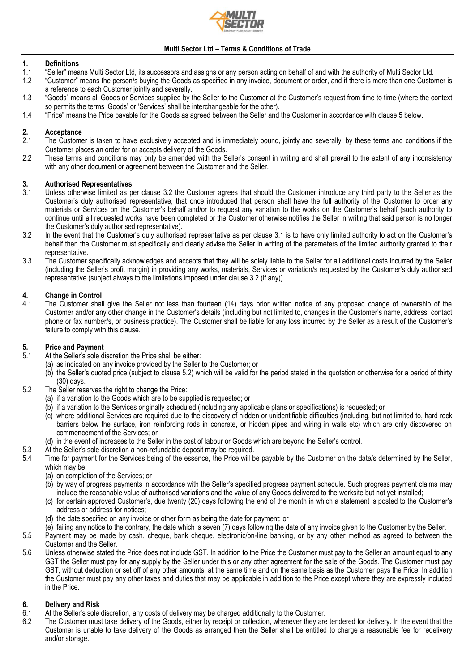

# **1. Definitions**

- 1.1 "Seller" means Multi Sector Ltd, its successors and assigns or any person acting on behalf of and with the authority of Multi Sector Ltd.
- 1.2 "Customer" means the person/s buying the Goods as specified in any invoice, document or order, and if there is more than one Customer is a reference to each Customer jointly and severally.
- 1.3 "Goods" means all Goods or Services supplied by the Seller to the Customer at the Customer's request from time to time (where the context so permits the terms 'Goods' or 'Services' shall be interchangeable for the other).
- 1.4 "Price" means the Price payable for the Goods as agreed between the Seller and the Customer in accordance with clause [5](#page-0-0) below.

# **2. Acceptance**

- 2.1 The Customer is taken to have exclusively accepted and is immediately bound, jointly and severally, by these terms and conditions if the Customer places an order for or accepts delivery of the Goods.
- 2.2 These terms and conditions may only be amended with the Seller's consent in writing and shall prevail to the extent of any inconsistency with any other document or agreement between the Customer and the Seller.

# **3. Authorised Representatives**

- <span id="page-0-2"></span>3.1 Unless otherwise limited as per clause [3.2](#page-0-1) the Customer agrees that should the Customer introduce any third party to the Seller as the Customer's duly authorised representative, that once introduced that person shall have the full authority of the Customer to order any materials or Services on the Customer's behalf and/or to request any variation to the works on the Customer's behalf (such authority to continue until all requested works have been completed or the Customer otherwise notifies the Seller in writing that said person is no longer the Customer's duly authorised representative).
- <span id="page-0-1"></span>3.2 In the event that the Customer's duly authorised representative as per clause [3.1](#page-0-2) is to have only limited authority to act on the Customer's behalf then the Customer must specifically and clearly advise the Seller in writing of the parameters of the limited authority granted to their representative.
- 3.3 The Customer specifically acknowledges and accepts that they will be solely liable to the Seller for all additional costs incurred by the Seller (including the Seller's profit margin) in providing any works, materials, Services or variation/s requested by the Customer's duly authorised representative (subject always to the limitations imposed under clause [3.2](#page-0-1) (if any)).

## **4. Change in Control**

The Customer shall give the Seller not less than fourteen (14) days prior written notice of any proposed change of ownership of the Customer and/or any other change in the Customer's details (including but not limited to, changes in the Customer's name, address, contact phone or fax number/s, or business practice). The Customer shall be liable for any loss incurred by the Seller as a result of the Customer's failure to comply with this clause.

### <span id="page-0-0"></span>**5. Price and Payment**

- At the Seller's sole discretion the Price shall be either:
	- (a) as indicated on any invoice provided by the Seller to the Customer; or
	- (b) the Seller's quoted price (subject to clause [5.2\)](#page-0-3) which will be valid for the period stated in the quotation or otherwise for a period of thirty (30) days.
- <span id="page-0-3"></span>5.2 The Seller reserves the right to change the Price:
	- (a) if a variation to the Goods which are to be supplied is requested; or
	- (b) if a variation to the Services originally scheduled (including any applicable plans or specifications) is requested; or
	- (c) where additional Services are required due to the discovery of hidden or unidentifiable difficulties (including, but not limited to, hard rock barriers below the surface, iron reinforcing rods in concrete, or hidden pipes and wiring in walls etc) which are only discovered on commencement of the Services; or
	- (d) in the event of increases to the Seller in the cost of labour or Goods which are beyond the Seller's control.
- 5.3 At the Seller's sole discretion a non-refundable deposit may be required.
- 5.4 Time for payment for the Services being of the essence, the Price will be payable by the Customer on the date/s determined by the Seller, which may be:
	- (a) on completion of the Services; or
	- (b) by way of progress payments in accordance with the Seller's specified progress payment schedule. Such progress payment claims may include the reasonable value of authorised variations and the value of any Goods delivered to the worksite but not yet installed;
	- (c) for certain approved Customer's, due twenty (20) days following the end of the month in which a statement is posted to the Customer's address or address for notices;
	- (d) the date specified on any invoice or other form as being the date for payment; or
	- (e) failing any notice to the contrary, the date which is seven (7) days following the date of any invoice given to the Customer by the Seller.
- 5.5 Payment may be made by cash, cheque, bank cheque, electronic/on-line banking, or by any other method as agreed to between the Customer and the Seller.
- 5.6 Unless otherwise stated the Price does not include GST. In addition to the Price the Customer must pay to the Seller an amount equal to any GST the Seller must pay for any supply by the Seller under this or any other agreement for the sale of the Goods. The Customer must pay GST, without deduction or set off of any other amounts, at the same time and on the same basis as the Customer pays the Price. In addition the Customer must pay any other taxes and duties that may be applicable in addition to the Price except where they are expressly included in the Price.

#### **6. Delivery and Risk**

- 6.1 At the Seller's sole discretion, any costs of delivery may be charged additionally to the Customer.
- 6.2 The Customer must take delivery of the Goods, either by receipt or collection, whenever they are tendered for delivery. In the event that the Customer is unable to take delivery of the Goods as arranged then the Seller shall be entitled to charge a reasonable fee for redelivery and/or storage.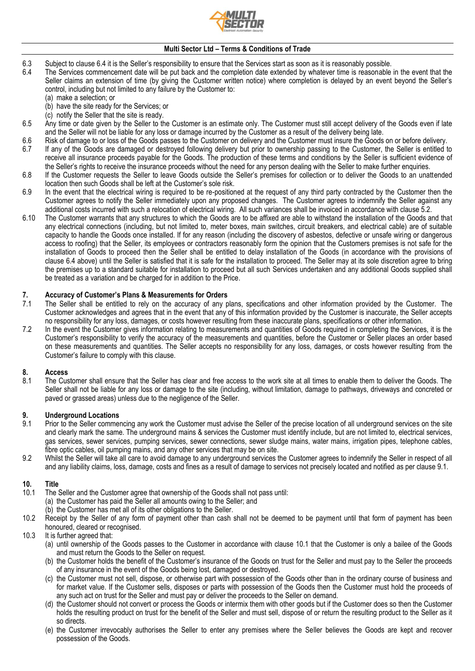

- <span id="page-1-0"></span>6.3 Subject to clause [6.4](#page-1-0) it is the Seller's responsibility to ensure that the Services start as soon as it is reasonably possible.
	- The Services commencement date will be put back and the completion date extended by whatever time is reasonable in the event that the Seller claims an extension of time (by giving the Customer written notice) where completion is delayed by an event beyond the Seller's control, including but not limited to any failure by the Customer to:
		- (a) make a selection; or
		- (b) have the site ready for the Services; or
		- (c) notify the Seller that the site is ready.
- 6.5 Any time or date given by the Seller to the Customer is an estimate only. The Customer must still accept delivery of the Goods even if late and the Seller will not be liable for any loss or damage incurred by the Customer as a result of the delivery being late.
- 6.6 Risk of damage to or loss of the Goods passes to the Customer on delivery and the Customer must insure the Goods on or before delivery.<br>6.7 If any of the Goods are damaged or destroved following delivery but prior to o
- 6.7 If any of the Goods are damaged or destroyed following delivery but prior to ownership passing to the Customer, the Seller is entitled to receive all insurance proceeds payable for the Goods. The production of these terms and conditions by the Seller is sufficient evidence of the Seller's rights to receive the insurance proceeds without the need for any person dealing with the Seller to make further enquiries.
- 6.8 If the Customer requests the Seller to leave Goods outside the Seller's premises for collection or to deliver the Goods to an unattended location then such Goods shall be left at the Customer's sole risk.
- 6.9 In the event that the electrical wiring is required to be re-positioned at the request of any third party contracted by the Customer then the Customer agrees to notify the Seller immediately upon any proposed changes. The Customer agrees to indemnify the Seller against any additional costs incurred with such a relocation of electrical wiring. All such variances shall be invoiced in accordance with clause [5.2.](#page-0-3)
- 6.10 The Customer warrants that any structures to which the Goods are to be affixed are able to withstand the installation of the Goods and that any electrical connections (including, but not limited to, meter boxes, main switches, circuit breakers, and electrical cable) are of suitable capacity to handle the Goods once installed. If for any reason (including the discovery of asbestos, defective or unsafe wiring or dangerous access to roofing) that the Seller, its employees or contractors reasonably form the opinion that the Customers premises is not safe for the installation of Goods to proceed then the Seller shall be entitled to delay installation of the Goods (in accordance with the provisions of clause [6.4](#page-1-0) above) until the Seller is satisfied that it is safe for the installation to proceed. The Seller may at its sole discretion agree to bring the premises up to a standard suitable for installation to proceed but all such Services undertaken and any additional Goods supplied shall be treated as a variation and be charged for in addition to the Price.

# **7. Accuracy of Customer's Plans & Measurements for Orders**

- The Seller shall be entitled to rely on the accuracy of any plans, specifications and other information provided by the Customer. The Customer acknowledges and agrees that in the event that any of this information provided by the Customer is inaccurate, the Seller accepts no responsibility for any loss, damages, or costs however resulting from these inaccurate plans, specifications or other information.
- 7.2 In the event the Customer gives information relating to measurements and quantities of Goods required in completing the Services, it is the Customer's responsibility to verify the accuracy of the measurements and quantities, before the Customer or Seller places an order based on these measurements and quantities. The Seller accepts no responsibility for any loss, damages, or costs however resulting from the Customer's failure to comply with this clause.

## **8. Access**

The Customer shall ensure that the Seller has clear and free access to the work site at all times to enable them to deliver the Goods. The Seller shall not be liable for any loss or damage to the site (including, without limitation, damage to pathways, driveways and concreted or paved or grassed areas) unless due to the negligence of the Seller.

# **9. Underground Locations**

- <span id="page-1-1"></span>Prior to the Seller commencing any work the Customer must advise the Seller of the precise location of all underground services on the site and clearly mark the same. The underground mains & services the Customer must identify include, but are not limited to, electrical services, gas services, sewer services, pumping services, sewer connections, sewer sludge mains, water mains, irrigation pipes, telephone cables, fibre optic cables, oil pumping mains, and any other services that may be on site.
- 9.2 Whilst the Seller will take all care to avoid damage to any underground services the Customer agrees to indemnify the Seller in respect of all and any liability claims, loss, damage, costs and fines as a result of damage to services not precisely located and notified as per claus[e 9.1.](#page-1-1)

## **10. Title**

- <span id="page-1-2"></span>The Seller and the Customer agree that ownership of the Goods shall not pass until:
	- (a) the Customer has paid the Seller all amounts owing to the Seller; and
	- (b) the Customer has met all of its other obligations to the Seller.
- 10.2 Receipt by the Seller of any form of payment other than cash shall not be deemed to be payment until that form of payment has been honoured, cleared or recognised.
- 10.3 It is further agreed that:
	- (a) until ownership of the Goods passes to the Customer in accordance with clause [10.1](#page-1-2) that the Customer is only a bailee of the Goods and must return the Goods to the Seller on request.
	- (b) the Customer holds the benefit of the Customer's insurance of the Goods on trust for the Seller and must pay to the Seller the proceeds of any insurance in the event of the Goods being lost, damaged or destroyed.
	- (c) the Customer must not sell, dispose, or otherwise part with possession of the Goods other than in the ordinary course of business and for market value. If the Customer sells, disposes or parts with possession of the Goods then the Customer must hold the proceeds of any such act on trust for the Seller and must pay or deliver the proceeds to the Seller on demand.
	- (d) the Customer should not convert or process the Goods or intermix them with other goods but if the Customer does so then the Customer holds the resulting product on trust for the benefit of the Seller and must sell, dispose of or return the resulting product to the Seller as it so directs.
	- (e) the Customer irrevocably authorises the Seller to enter any premises where the Seller believes the Goods are kept and recover possession of the Goods.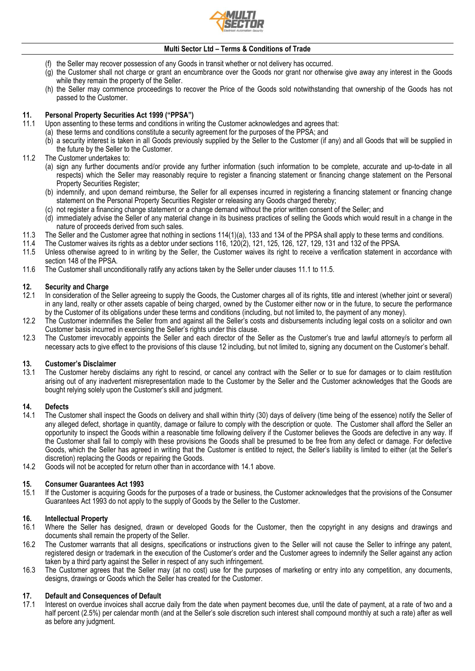

- (f) the Seller may recover possession of any Goods in transit whether or not delivery has occurred.
- (g) the Customer shall not charge or grant an encumbrance over the Goods nor grant nor otherwise give away any interest in the Goods while they remain the property of the Seller.
- (h) the Seller may commence proceedings to recover the Price of the Goods sold notwithstanding that ownership of the Goods has not passed to the Customer.

# **11. Personal Property Securities Act 1999 ("PPSA")**

- Upon assenting to these terms and conditions in writing the Customer acknowledges and agrees that:
	- (a) these terms and conditions constitute a security agreement for the purposes of the PPSA; and
		- (b) a security interest is taken in all Goods previously supplied by the Seller to the Customer (if any) and all Goods that will be supplied in the future by the Seller to the Customer.
- 11.2 The Customer undertakes to:
	- (a) sign any further documents and/or provide any further information (such information to be complete, accurate and up-to-date in all respects) which the Seller may reasonably require to register a financing statement or financing change statement on the Personal Property Securities Register;
	- (b) indemnify, and upon demand reimburse, the Seller for all expenses incurred in registering a financing statement or financing change statement on the Personal Property Securities Register or releasing any Goods charged thereby;
	- (c) not register a financing change statement or a change demand without the prior written consent of the Seller; and
	- (d) immediately advise the Seller of any material change in its business practices of selling the Goods which would result in a change in the nature of proceeds derived from such sales.
- 11.3 The Seller and the Customer agree that nothing in sections 114(1)(a), 133 and 134 of the PPSA shall apply to these terms and conditions.<br>11.4 The Customer waives its rights as a debtor under sections 116, 120(2), 121,
	- 11.4 The Customer waives its rights as a debtor under sections 116, 120(2), 121, 125, 126, 127, 129, 131 and 132 of the PPSA.
- 11.5 Unless otherwise agreed to in writing by the Seller, the Customer waives its right to receive a verification statement in accordance with section 148 of the PPSA.
- 11.6 The Customer shall unconditionally ratify any actions taken by the Seller under clauses 11.1 to 11.5.

## **12. Security and Charge**

- In consideration of the Seller agreeing to supply the Goods, the Customer charges all of its rights, title and interest (whether joint or several) in any land, realty or other assets capable of being charged, owned by the Customer either now or in the future, to secure the performance by the Customer of its obligations under these terms and conditions (including, but not limited to, the payment of any money).
- 12.2 The Customer indemnifies the Seller from and against all the Seller's costs and disbursements including legal costs on a solicitor and own Customer basis incurred in exercising the Seller's rights under this clause.
- 12.3 The Customer irrevocably appoints the Seller and each director of the Seller as the Customer's true and lawful attorney/s to perform all necessary acts to give effect to the provisions of this clause 12 including, but not limited to, signing any document on the Customer's behalf.

### **13. Customer's Disclaimer**

The Customer hereby disclaims any right to rescind, or cancel any contract with the Seller or to sue for damages or to claim restitution arising out of any inadvertent misrepresentation made to the Customer by the Seller and the Customer acknowledges that the Goods are bought relying solely upon the Customer's skill and judgment.

# **14. Defects**

- 14.1 The Customer shall inspect the Goods on delivery and shall within thirty (30) days of delivery (time being of the essence) notify the Seller of any alleged defect, shortage in quantity, damage or failure to comply with the description or quote. The Customer shall afford the Seller an opportunity to inspect the Goods within a reasonable time following delivery if the Customer believes the Goods are defective in any way. If the Customer shall fail to comply with these provisions the Goods shall be presumed to be free from any defect or damage. For defective Goods, which the Seller has agreed in writing that the Customer is entitled to reject, the Seller's liability is limited to either (at the Seller's discretion) replacing the Goods or repairing the Goods.
- 14.2 Goods will not be accepted for return other than in accordance with 14.1 above.

## **15. Consumer Guarantees Act 1993**

15.1 If the Customer is acquiring Goods for the purposes of a trade or business, the Customer acknowledges that the provisions of the Consumer Guarantees Act 1993 do not apply to the supply of Goods by the Seller to the Customer.

#### **16. Intellectual Property**

- 16.1 Where the Seller has designed, drawn or developed Goods for the Customer, then the copyright in any designs and drawings and documents shall remain the property of the Seller.
- 16.2 The Customer warrants that all designs, specifications or instructions given to the Seller will not cause the Seller to infringe any patent, registered design or trademark in the execution of the Customer's order and the Customer agrees to indemnify the Seller against any action taken by a third party against the Seller in respect of any such infringement.
- 16.3 The Customer agrees that the Seller may (at no cost) use for the purposes of marketing or entry into any competition, any documents, designs, drawings or Goods which the Seller has created for the Customer.

## **17. Default and Consequences of Default**

Interest on overdue invoices shall accrue daily from the date when payment becomes due, until the date of payment, at a rate of two and a half percent (2.5%) per calendar month (and at the Seller's sole discretion such interest shall compound monthly at such a rate) after as well as before any judgment.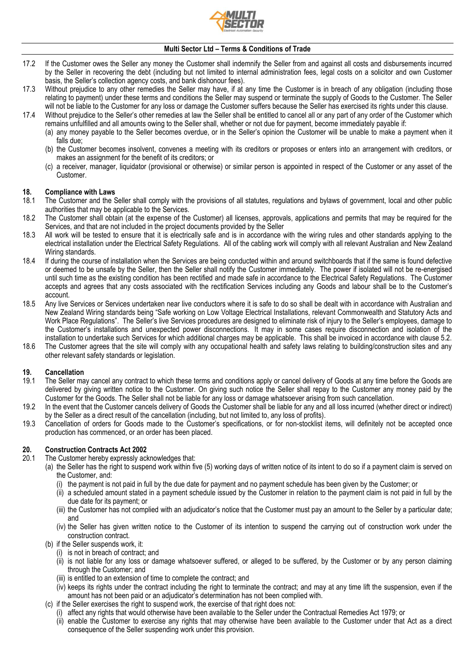

- 17.2 If the Customer owes the Seller any money the Customer shall indemnify the Seller from and against all costs and disbursements incurred by the Seller in recovering the debt (including but not limited to internal administration fees, legal costs on a solicitor and own Customer basis, the Seller's collection agency costs, and bank dishonour fees).
- 17.3 Without prejudice to any other remedies the Seller may have, if at any time the Customer is in breach of any obligation (including those relating to payment) under these terms and conditions the Seller may suspend or terminate the supply of Goods to the Customer. The Seller will not be liable to the Customer for any loss or damage the Customer suffers because the Seller has exercised its rights under this clause.
- 17.4 Without prejudice to the Seller's other remedies at law the Seller shall be entitled to cancel all or any part of any order of the Customer which remains unfulfilled and all amounts owing to the Seller shall, whether or not due for payment, become immediately payable if:
	- (a) any money payable to the Seller becomes overdue, or in the Seller's opinion the Customer will be unable to make a payment when it falls due;
	- (b) the Customer becomes insolvent, convenes a meeting with its creditors or proposes or enters into an arrangement with creditors, or makes an assignment for the benefit of its creditors; or
	- (c) a receiver, manager, liquidator (provisional or otherwise) or similar person is appointed in respect of the Customer or any asset of the Customer.

#### **18. Compliance with Laws**

- 18.1 The Customer and the Seller shall comply with the provisions of all statutes, regulations and bylaws of government, local and other public authorities that may be applicable to the Services.
- 18.2 The Customer shall obtain (at the expense of the Customer) all licenses, approvals, applications and permits that may be required for the Services, and that are not included in the project documents provided by the Seller
- 18.3 All work will be tested to ensure that it is electrically safe and is in accordance with the wiring rules and other standards applying to the electrical installation under the Electrical Safety Regulations. All of the cabling work will comply with all relevant Australian and New Zealand Wiring standards.
- 18.4 If during the course of installation when the Services are being conducted within and around switchboards that if the same is found defective or deemed to be unsafe by the Seller, then the Seller shall notify the Customer immediately. The power if isolated will not be re-energised until such time as the existing condition has been rectified and made safe in accordance to the Electrical Safety Regulations. The Customer accepts and agrees that any costs associated with the rectification Services including any Goods and labour shall be to the Customer's account.
- 18.5 Any live Services or Services undertaken near live conductors where it is safe to do so shall be dealt with in accordance with Australian and New Zealand Wiring standards being "Safe working on Low Voltage Electrical Installations, relevant Commonwealth and Statutory Acts and Work Place Regulations". The Seller's live Services procedures are designed to eliminate risk of injury to the Seller's employees, damage to the Customer's installations and unexpected power disconnections. It may in some cases require disconnection and isolation of the installation to undertake such Services for which additional charges may be applicable. This shall be invoiced in accordance with clause 5.2.
- 18.6 The Customer agrees that the site will comply with any occupational health and safety laws relating to building/construction sites and any other relevant safety standards or legislation.

## **19. Cancellation**

- 19.1 The Seller may cancel any contract to which these terms and conditions apply or cancel delivery of Goods at any time before the Goods are delivered by giving written notice to the Customer. On giving such notice the Seller shall repay to the Customer any money paid by the Customer for the Goods. The Seller shall not be liable for any loss or damage whatsoever arising from such cancellation.
- 19.2 In the event that the Customer cancels delivery of Goods the Customer shall be liable for any and all loss incurred (whether direct or indirect) by the Seller as a direct result of the cancellation (including, but not limited to, any loss of profits).
- 19.3 Cancellation of orders for Goods made to the Customer's specifications, or for non-stocklist items, will definitely not be accepted once production has commenced, or an order has been placed.

# **20. Construction Contracts Act 2002**

- The Customer hereby expressly acknowledges that:
	- (a) the Seller has the right to suspend work within five (5) working days of written notice of its intent to do so if a payment claim is served on the Customer, and:
		- (i) the payment is not paid in full by the due date for payment and no payment schedule has been given by the Customer; or
		- (ii) a scheduled amount stated in a payment schedule issued by the Customer in relation to the payment claim is not paid in full by the due date for its payment; or
		- (iii) the Customer has not complied with an adjudicator's notice that the Customer must pay an amount to the Seller by a particular date; and
		- (iv) the Seller has given written notice to the Customer of its intention to suspend the carrying out of construction work under the construction contract.
	- (b) if the Seller suspends work, it:
		- (i) is not in breach of contract; and
		- (ii) is not liable for any loss or damage whatsoever suffered, or alleged to be suffered, by the Customer or by any person claiming through the Customer; and
		- (iii) is entitled to an extension of time to complete the contract; and
		- (iv) keeps its rights under the contract including the right to terminate the contract; and may at any time lift the suspension, even if the amount has not been paid or an adjudicator's determination has not been complied with.
	- (c) if the Seller exercises the right to suspend work, the exercise of that right does not:
		- (i) affect any rights that would otherwise have been available to the Seller under the Contractual Remedies Act 1979; or
		- (ii) enable the Customer to exercise any rights that may otherwise have been available to the Customer under that Act as a direct consequence of the Seller suspending work under this provision.